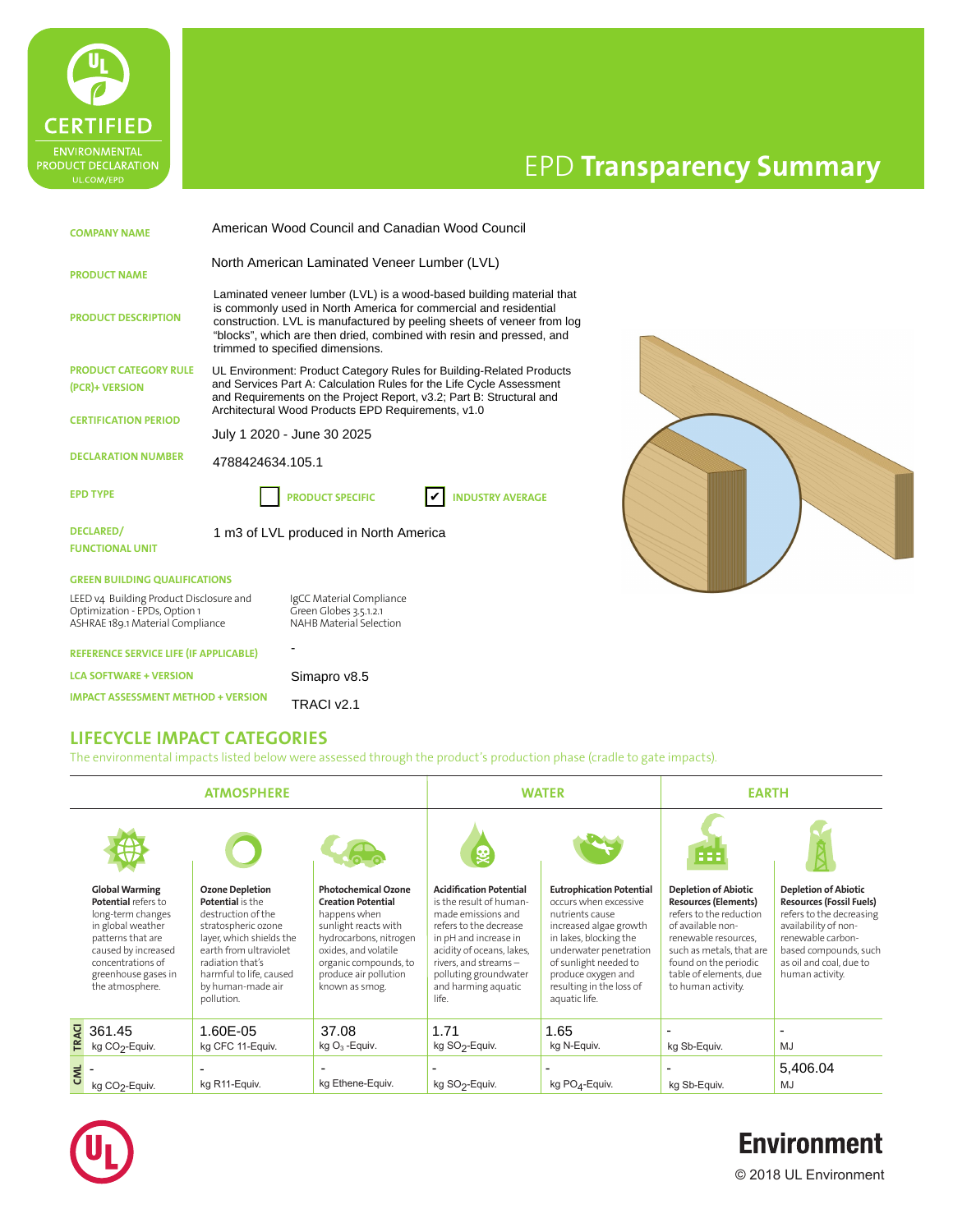

# EPD **Transparency Summary**

**HI RESOLUTION IMAGE** 

| <b>COMPANY NAME</b>                                                                                          | American Wood Council and Canadian Wood Council                                                                                                                                                                                                                            |                                                                                                                                                                                                                                                                                                                                |  |
|--------------------------------------------------------------------------------------------------------------|----------------------------------------------------------------------------------------------------------------------------------------------------------------------------------------------------------------------------------------------------------------------------|--------------------------------------------------------------------------------------------------------------------------------------------------------------------------------------------------------------------------------------------------------------------------------------------------------------------------------|--|
| <b>PRODUCT NAME</b>                                                                                          | North American Laminated Veneer Lumber (LVL)                                                                                                                                                                                                                               |                                                                                                                                                                                                                                                                                                                                |  |
| <b>PRODUCT DESCRIPTION</b>                                                                                   |                                                                                                                                                                                                                                                                            | Laminated veneer lumber (LVL) is a wood-based building material that<br>is commonly used in North America for commercial and residential<br>construction. LVL is manufactured by peeling sheets of veneer from log<br>"blocks", which are then dried, combined with resin and pressed, and<br>trimmed to specified dimensions. |  |
| <b>PRODUCT CATEGORY RULE</b><br>(PCR)+ VERSION                                                               | UL Environment: Product Category Rules for Building-Related Products<br>and Services Part A: Calculation Rules for the Life Cycle Assessment<br>and Requirements on the Project Report, v3.2; Part B: Structural and<br>Architectural Wood Products EPD Requirements, v1.0 |                                                                                                                                                                                                                                                                                                                                |  |
| <b>CERTIFICATION PERIOD</b>                                                                                  | July 1 2020 - June 30 2025                                                                                                                                                                                                                                                 |                                                                                                                                                                                                                                                                                                                                |  |
| <b>DECLARATION NUMBER</b>                                                                                    | 4788424634.105.1                                                                                                                                                                                                                                                           |                                                                                                                                                                                                                                                                                                                                |  |
| <b>EPD TYPE</b>                                                                                              |                                                                                                                                                                                                                                                                            | <b>PRODUCT SPECIFIC</b><br><b>INDUSTRY AVERAGE</b>                                                                                                                                                                                                                                                                             |  |
| DECLARED/<br><b>FUNCTIONAL UNIT</b>                                                                          |                                                                                                                                                                                                                                                                            | 1 m3 of LVL produced in North America                                                                                                                                                                                                                                                                                          |  |
| <b>GREEN BUILDING QUALIFICATIONS</b>                                                                         |                                                                                                                                                                                                                                                                            |                                                                                                                                                                                                                                                                                                                                |  |
| LEED v4 Building Product Disclosure and<br>Optimization - EPDs, Option 1<br>ASHRAE 189.1 Material Compliance |                                                                                                                                                                                                                                                                            | IgCC Material Compliance<br>Green Globes 3.5.1.2.1<br><b>NAHB Material Selection</b>                                                                                                                                                                                                                                           |  |
| <b>REFERENCE SERVICE LIFE (IF APPLICABLE)</b>                                                                |                                                                                                                                                                                                                                                                            |                                                                                                                                                                                                                                                                                                                                |  |
| <b>LCA SOFTWARE + VERSION</b>                                                                                |                                                                                                                                                                                                                                                                            | Simapro v8.5                                                                                                                                                                                                                                                                                                                   |  |

**IMPACT ASSESSMENT METHOD + VERSION** TRACI v2.1

#### **LIFECYCLE IMPACT CATEGORIES**

The environmental impacts listed below were assessed through the product's production phase (cradle to gate impacts).

| <b>ATMOSPHERE</b> |                                                                                                                                                                                                   |                                                                                                                                                                                                                                        | <b>WATER</b>                                                                                                                                                                                                          |                                                                                                                                                                                                                                                  | <b>EARTH</b>                                                                                                                                                                                                                                          |                                                                                                                                                                                                                                         |                                                                                                                                                                                                                |
|-------------------|---------------------------------------------------------------------------------------------------------------------------------------------------------------------------------------------------|----------------------------------------------------------------------------------------------------------------------------------------------------------------------------------------------------------------------------------------|-----------------------------------------------------------------------------------------------------------------------------------------------------------------------------------------------------------------------|--------------------------------------------------------------------------------------------------------------------------------------------------------------------------------------------------------------------------------------------------|-------------------------------------------------------------------------------------------------------------------------------------------------------------------------------------------------------------------------------------------------------|-----------------------------------------------------------------------------------------------------------------------------------------------------------------------------------------------------------------------------------------|----------------------------------------------------------------------------------------------------------------------------------------------------------------------------------------------------------------|
|                   |                                                                                                                                                                                                   |                                                                                                                                                                                                                                        |                                                                                                                                                                                                                       |                                                                                                                                                                                                                                                  |                                                                                                                                                                                                                                                       | 1222                                                                                                                                                                                                                                    |                                                                                                                                                                                                                |
|                   | <b>Global Warming</b><br>Potential refers to<br>long-term changes<br>in global weather<br>patterns that are<br>caused by increased<br>concentrations of<br>greenhouse gases in<br>the atmosphere. | <b>Ozone Depletion</b><br><b>Potential</b> is the<br>destruction of the<br>stratospheric ozone<br>layer, which shields the<br>earth from ultraviolet<br>radiation that's<br>harmful to life, caused<br>by human-made air<br>pollution. | <b>Photochemical Ozone</b><br><b>Creation Potential</b><br>happens when<br>sunlight reacts with<br>hydrocarbons, nitrogen<br>oxides, and volatile<br>organic compounds, to<br>produce air pollution<br>known as smog. | <b>Acidification Potential</b><br>is the result of human-<br>made emissions and<br>refers to the decrease<br>in pH and increase in<br>acidity of oceans, lakes,<br>rivers, and streams-<br>polluting groundwater<br>and harming aquatic<br>life. | <b>Eutrophication Potential</b><br>occurs when excessive<br>nutrients cause<br>increased algae growth<br>in lakes, blocking the<br>underwater penetration<br>of sunlight needed to<br>produce oxygen and<br>resulting in the loss of<br>aquatic life. | <b>Depletion of Abiotic</b><br><b>Resources (Elements)</b><br>refers to the reduction<br>of available non-<br>renewable resources,<br>such as metals, that are<br>found on the periodic<br>table of elements, due<br>to human activity. | <b>Depletion of Abiotic</b><br><b>Resources (Fossil Fuels)</b><br>refers to the decreasing<br>availability of non-<br>renewable carbon-<br>based compounds, such<br>as oil and coal, due to<br>human activity. |
| <b>TRACI</b>      | 361.45<br>kg CO <sub>2</sub> -Equiv.                                                                                                                                                              | 1.60E-05<br>kg CFC 11-Equiv.                                                                                                                                                                                                           | 37.08<br>kg $O_3$ -Equiv.                                                                                                                                                                                             | 1.71<br>kg SO <sub>2</sub> -Equiv.                                                                                                                                                                                                               | 1.65<br>kg N-Equiv.                                                                                                                                                                                                                                   | kg Sb-Equiv.                                                                                                                                                                                                                            | $\overline{\phantom{0}}$<br>MJ                                                                                                                                                                                 |
| CML               | kg CO <sub>2</sub> -Equiv.                                                                                                                                                                        | kg R11-Equiv.                                                                                                                                                                                                                          | kg Ethene-Equiv.                                                                                                                                                                                                      | kg SO <sub>2</sub> -Equiv.                                                                                                                                                                                                                       | kg PO <sub>4</sub> -Equiv.                                                                                                                                                                                                                            | kg Sb-Equiv.                                                                                                                                                                                                                            | 5,406.04<br>MJ                                                                                                                                                                                                 |



## **Environment**

© 2018 UL Environment